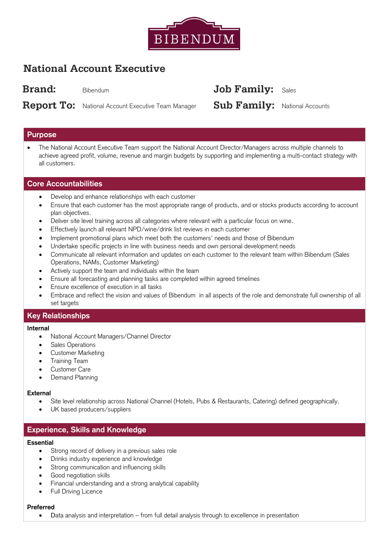

# **National Account Executive**

**Brand:** 

Bibendum

# **Report To:** National Account Executive Team Manager

# Job Family: Sales

**Sub Family:** National Accounts

# **Purpose**

 The National Account Executive Team support the National Account Director/Managers across multiple channels to achieve agreed profit, volume, revenue and margin budgets by supporting and implementing a multi-contact strategy with all customers.

# **Core Accountabilities**

- Develop and enhance relationships with each customer
- Ensure that each customer has the most appropriate range of products, and or stocks products according to account plan objectives.
- Deliver site level training across all categories where relevant with a particular focus on wine.
- Effectively launch all relevant NPD/wine/drink list reviews in each customer
- Implement promotional plans which meet both the customers' needs and those of Bibendum
- Undertake specific projects in line with business needs and own personal development needs
- Communicate all relevant information and updates on each customer to the relevant team within Bibendum (Sales Operations, NAMs, Customer Marketing)
- Actively support the team and individuals within the team
- Ensure all forecasting and planning tasks are completed within agreed timelines
- Ensure excellence of execution in all tasks
- Embrace and reflect the vision and values of Bibendum in all aspects of the role and demonstrate full ownership of all set targets

# **Key Relationships**

#### **Internal**

- National Account Managers/Channel Director
- Sales Operations
- Customer Marketing
- Training Team
- Customer Care
- Demand Planning

#### **External**

- Site level relationship across National Channel (Hotels, Pubs & Restaurants, Catering) defined geographically.
- UK based producers/suppliers

# **Experience, Skills and Knowledge**

#### **Essential**

- Strong record of delivery in a previous sales role
- Drinks industry experience and knowledge
- Strong communication and influencing skills
- Good negotiation skills
- Financial understanding and a strong analytical capability
- Full Driving Licence

#### **Preferred**

Data analysis and interpretation – from full detail analysis through to excellence in presentation